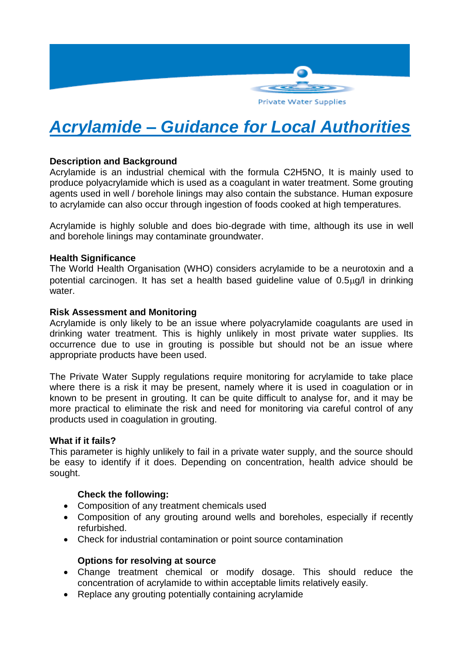

# *Acrylamide – Guidance for Local Authorities*

## **Description and Background**

Acrylamide is an industrial chemical with the formula C2H5NO, It is mainly used to produce polyacrylamide which is used as a coagulant in water treatment. Some grouting agents used in well / borehole linings may also contain the substance. Human exposure to acrylamide can also occur through ingestion of foods cooked at high temperatures.

Acrylamide is highly soluble and does bio-degrade with time, although its use in well and borehole linings may contaminate groundwater.

### **Health Significance**

The World Health Organisation (WHO) considers acrylamide to be a neurotoxin and a potential carcinogen. It has set a health based guideline value of  $0.5\mu g/l$  in drinking water.

### **Risk Assessment and Monitoring**

Acrylamide is only likely to be an issue where polyacrylamide coagulants are used in drinking water treatment. This is highly unlikely in most private water supplies. Its occurrence due to use in grouting is possible but should not be an issue where appropriate products have been used.

The Private Water Supply regulations require monitoring for acrylamide to take place where there is a risk it may be present, namely where it is used in coagulation or in known to be present in grouting. It can be quite difficult to analyse for, and it may be more practical to eliminate the risk and need for monitoring via careful control of any products used in coagulation in grouting.

### **What if it fails?**

This parameter is highly unlikely to fail in a private water supply, and the source should be easy to identify if it does. Depending on concentration, health advice should be sought.

### **Check the following:**

- Composition of any treatment chemicals used
- Composition of any grouting around wells and boreholes, especially if recently refurbished.
- Check for industrial contamination or point source contamination

### **Options for resolving at source**

- Change treatment chemical or modify dosage. This should reduce the concentration of acrylamide to within acceptable limits relatively easily.
- Replace any grouting potentially containing acrylamide